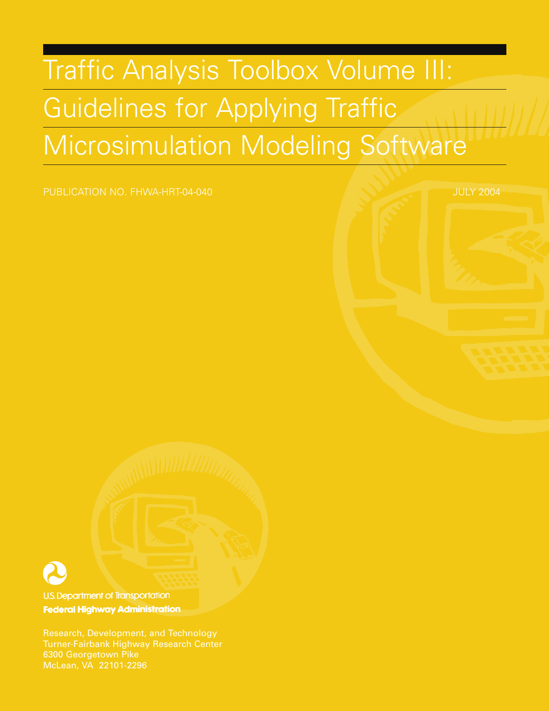## Traffic Analysis Toolbox Volume III: Guidelines for Applying Traffic Microsimulation Modeling Software

PUBLICATION NO. FHWA-HRT-04-040 **JULY 2004** JULY 2004



U.S. Department of Transportation **Federal Highway Administration** 

Research, Development, and Technology McLean, VA 22101-2296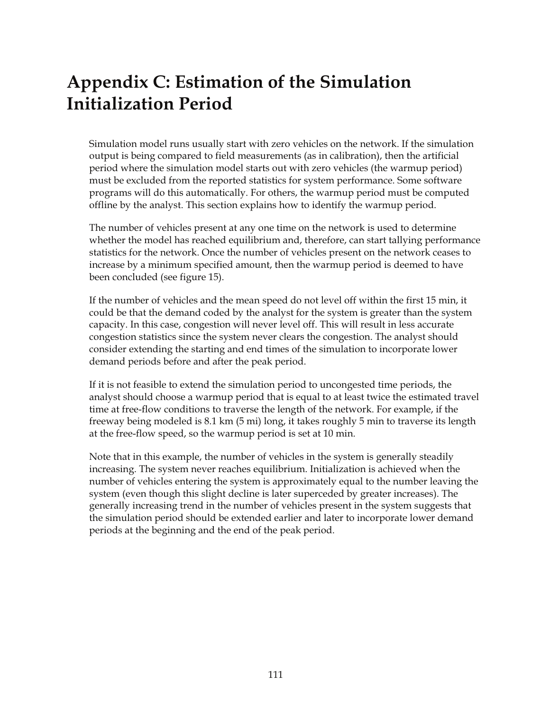## **Appendix C: Estimation of the Simulation Initialization Period**

Simulation model runs usually start with zero vehicles on the network. If the simulation output is being compared to field measurements (as in calibration), then the artificial period where the simulation model starts out with zero vehicles (the warmup period) must be excluded from the reported statistics for system performance. Some software programs will do this automatically. For others, the warmup period must be computed offline by the analyst. This section explains how to identify the warmup period.

The number of vehicles present at any one time on the network is used to determine whether the model has reached equilibrium and, therefore, can start tallying performance statistics for the network. Once the number of vehicles present on the network ceases to increase by a minimum specified amount, then the warmup period is deemed to have been concluded (see figure 15).

If the number of vehicles and the mean speed do not level off within the first 15 min, it could be that the demand coded by the analyst for the system is greater than the system capacity. In this case, congestion will never level off. This will result in less accurate congestion statistics since the system never clears the congestion. The analyst should consider extending the starting and end times of the simulation to incorporate lower demand periods before and after the peak period.

If it is not feasible to extend the simulation period to uncongested time periods, the analyst should choose a warmup period that is equal to at least twice the estimated travel time at free-flow conditions to traverse the length of the network. For example, if the freeway being modeled is 8.1 km (5 mi) long, it takes roughly 5 min to traverse its length at the free-flow speed, so the warmup period is set at 10 min.

Note that in this example, the number of vehicles in the system is generally steadily increasing. The system never reaches equilibrium. Initialization is achieved when the number of vehicles entering the system is approximately equal to the number leaving the system (even though this slight decline is later superceded by greater increases). The generally increasing trend in the number of vehicles present in the system suggests that the simulation period should be extended earlier and later to incorporate lower demand periods at the beginning and the end of the peak period.